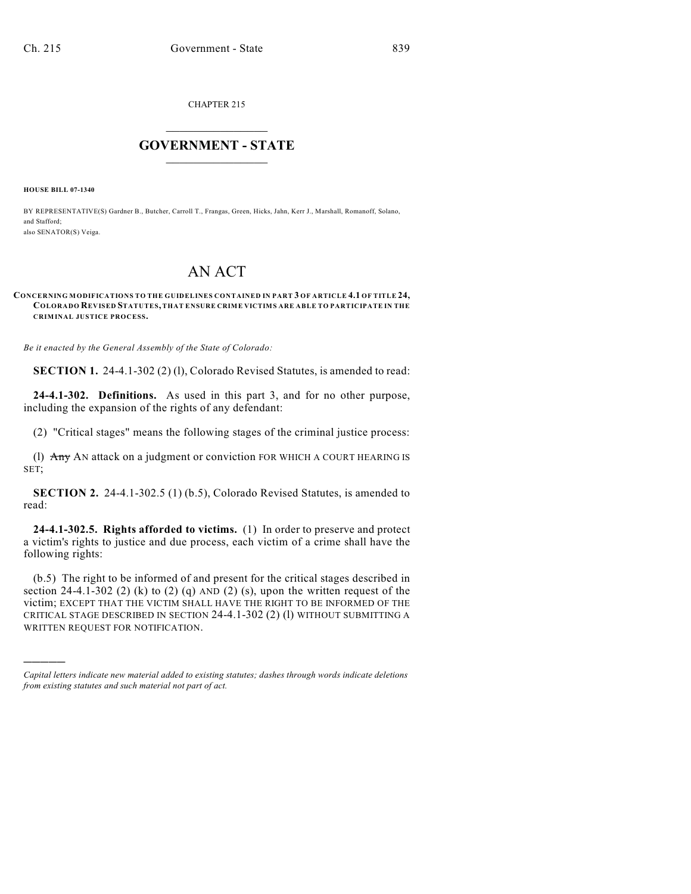CHAPTER 215

## $\overline{\phantom{a}}$  . The set of the set of the set of the set of the set of the set of the set of the set of the set of the set of the set of the set of the set of the set of the set of the set of the set of the set of the set o **GOVERNMENT - STATE**  $\_$

**HOUSE BILL 07-1340**

)))))

BY REPRESENTATIVE(S) Gardner B., Butcher, Carroll T., Frangas, Green, Hicks, Jahn, Kerr J., Marshall, Romanoff, Solano, and Stafford; also SENATOR(S) Veiga.

## AN ACT

## **CONCERNING MODIFICATIONS TO THE GUIDELINES CONTAINED IN PART 3 OF ARTICLE 4.1 OF TITLE 24, COLORADO REVISED STATUTES, THAT ENSURE CRIME VICTIMS ARE ABLE TO PARTICIPATE IN THE CRIMINAL JUSTICE PROCESS.**

*Be it enacted by the General Assembly of the State of Colorado:*

**SECTION 1.** 24-4.1-302 (2) (1), Colorado Revised Statutes, is amended to read:

**24-4.1-302. Definitions.** As used in this part 3, and for no other purpose, including the expansion of the rights of any defendant:

(2) "Critical stages" means the following stages of the criminal justice process:

(l) Any AN attack on a judgment or conviction FOR WHICH A COURT HEARING IS SET;

**SECTION 2.** 24-4.1-302.5 (1) (b.5), Colorado Revised Statutes, is amended to read:

**24-4.1-302.5. Rights afforded to victims.** (1) In order to preserve and protect a victim's rights to justice and due process, each victim of a crime shall have the following rights:

(b.5) The right to be informed of and present for the critical stages described in section 24-4.1-302 (2) (k) to (2) (q) AND (2) (s), upon the written request of the victim; EXCEPT THAT THE VICTIM SHALL HAVE THE RIGHT TO BE INFORMED OF THE CRITICAL STAGE DESCRIBED IN SECTION 24-4.1-302 (2) (l) WITHOUT SUBMITTING A WRITTEN REQUEST FOR NOTIFICATION.

*Capital letters indicate new material added to existing statutes; dashes through words indicate deletions from existing statutes and such material not part of act.*